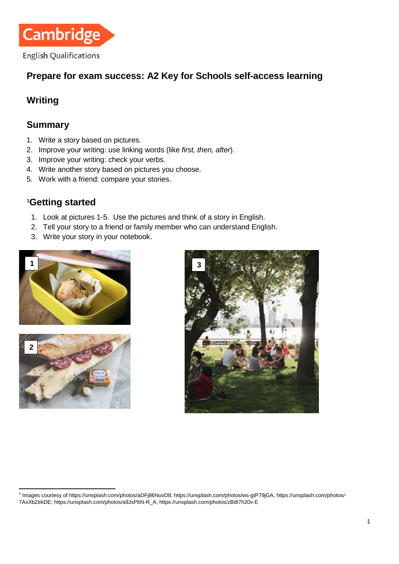

# **Prepare for exam success: A2 Key for Schools self-access learning**

# **Writing**

## **Summary**

- 1. Write a story based on pictures.
- 2. Improve your writing: use linking words (like *first, then, after*).
- 3. Improve your writing: check your verbs.
- 4. Write another story based on pictures you choose.
- 5. Work with a friend: compare your stories.

# **[1](#page-0-0) Getting started**

- 1. Look at pictures 1-5. Use the pictures and think of a story in English.
- 2. Tell your story to a friend or family member who can understand English.
- 3. Write your story in your notebook.







<span id="page-0-0"></span> <sup>1</sup> Images courtesy of [https://unsplash.com/photos/aDFj86NuvD8;](https://unsplash.com/photos/aDFj86NuvD8) [https://unsplash.com/photos/ws-gtP79jGA,](https://unsplash.com/photos/ws-gtP79jGA) [https://unsplash.com/photos/-](https://unsplash.com/photos/-7AxXbZekDE) [7AxXbZekDE;](https://unsplash.com/photos/-7AxXbZekDE) [https://unsplash.com/photos/a9JsPbN-R\\_A;](https://unsplash.com/photos/a9JsPbN-R_A) <https://unsplash.com/photos/zBdt7h20v-E>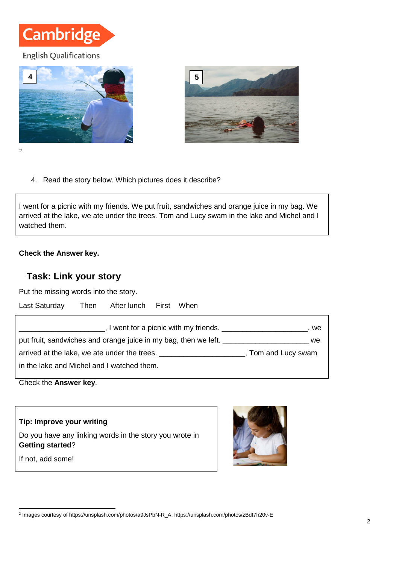# **Cambridge**

#### **English Qualifications**





4. Read the story below. Which pictures does it describe?

I went for a picnic with my friends. We put fruit, sandwiches and orange juice in my bag. We arrived at the lake, we ate under the trees. Tom and Lucy swam in the lake and Michel and I watched them.

#### **Check the Answer key.**

## **Task: Link your story**

Put the missing words into the story.

| Last Saturday                              | Then After lunch First When                                                                  |                                               |    |
|--------------------------------------------|----------------------------------------------------------------------------------------------|-----------------------------------------------|----|
|                                            |                                                                                              | $\Box$ , I went for a picnic with my friends. | we |
|                                            | put fruit, sandwiches and orange juice in my bag, then we left.                              | we                                            |    |
|                                            | arrived at the lake, we ate under the trees. ____________________________, Tom and Lucy swam |                                               |    |
| in the lake and Michel and I watched them. |                                                                                              |                                               |    |

Check the **Answer key**.

**Tip: Improve your writing** Do you have any linking words in the story you wrote in

**Getting started**?

If not, add some!



<span id="page-1-0"></span> <sup>2</sup> Images courtesy of [https://unsplash.com/photos/a9JsPbN-R\\_A;](https://unsplash.com/photos/a9JsPbN-R_A)<https://unsplash.com/photos/zBdt7h20v-E>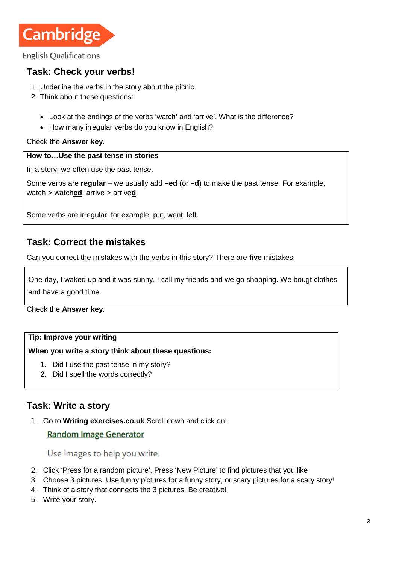

**English Qualifications** 

## **Task: Check your verbs!**

- 1. Underline the verbs in the story about the picnic.
- 2. Think about these questions:
	- Look at the endings of the verbs 'watch' and 'arrive'. What is the difference?
	- How many irregular verbs do you know in English?

Check the **Answer key**.

#### **How to…Use the past tense in stories**

In a story, we often use the past tense.

Some verbs are **regular** – we usually add **–ed** (or **–d**) to make the past tense. For example, watch > watch**ed**; arrive > arrive**d**.

Some verbs are irregular, for example: put, went, left.

## **Task: Correct the mistakes**

Can you correct the mistakes with the verbs in this story? There are **five** mistakes.

One day, I waked up and it was sunny. I call my friends and we go shopping. We bougt clothes and have a good time.

Check the **Answer key**.

#### **Tip: Improve your writing**

**When you write a story think about these questions:**

- 1. Did I use the past tense in my story?
- 2. Did I spell the words correctly?

## **Task: Write a story**

1. Go to **[Writing exercises.co.uk](https://writingexercises.co.uk/index.php)** Scroll down and click on:

#### **Random Image Generator**

Use images to help you write.

- 2. Click 'Press for a random picture'. Press 'New Picture' to find pictures that you like
- 3. Choose 3 pictures. Use funny pictures for a funny story, or scary pictures for a scary story!
- 4. Think of a story that connects the 3 pictures. Be creative!
- 5. Write your story.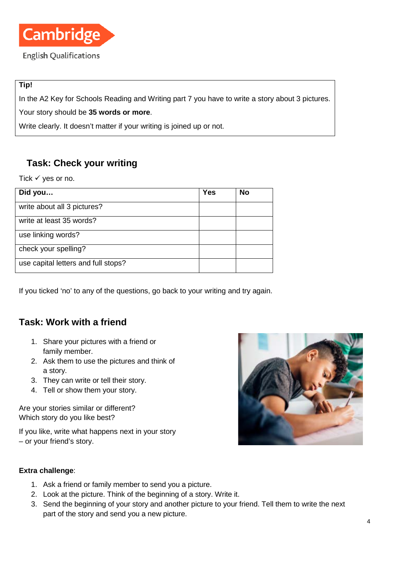

#### **Tip!**

In the A2 Key for Schools Reading and Writing part 7 you have to write a story about 3 pictures.

Your story should be **35 words or more**.

Write clearly. It doesn't matter if your writing is joined up or not.

# **Task: Check your writing**

Tick  $\checkmark$  yes or no.

| Did you                             | <b>Yes</b> | No |
|-------------------------------------|------------|----|
| write about all 3 pictures?         |            |    |
| write at least 35 words?            |            |    |
| use linking words?                  |            |    |
| check your spelling?                |            |    |
| use capital letters and full stops? |            |    |

If you ticked 'no' to any of the questions, go back to your writing and try again.

# **Task: Work with a friend**

- 1. Share your pictures with a friend or family member.
- 2. Ask them to use the pictures and think of a story.
- 3. They can write or tell their story.
- 4. Tell or show them your story.

Are your stories similar or different? Which story do you like best?

If you like, write what happens next in your story – or your friend's story.



#### **Extra challenge**:

- 1. Ask a friend or family member to send you a picture.
- 2. Look at the picture. Think of the beginning of a story. Write it.
- 3. Send the beginning of your story and another picture to your friend. Tell them to write the next part of the story and send you a new picture.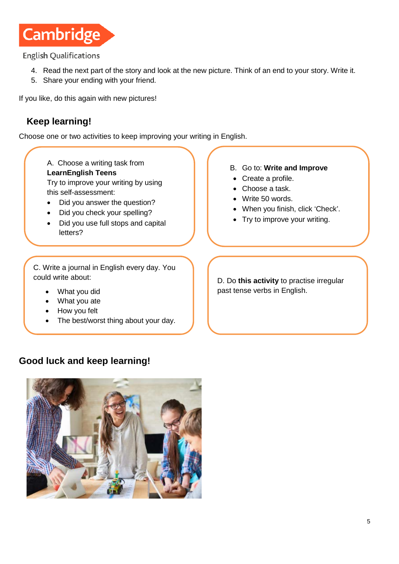

**English Qualifications** 

- 4. Read the next part of the story and look at the new picture. Think of an end to your story. Write it.
- 5. Share your ending with your friend.

If you like, do this again with new pictures!

# **Keep learning!**

Choose one or two activities to keep improving your writing in English.

A. Choose a writing task from **[LearnEnglish Teens](https://learnenglishteens.britishcouncil.org/skills/writing/elementary-a2-writing)** Try to improve your writing by using

this self-assessment:

- Did you answer the question?
- Did you check your spelling?
- Did you use full stops and capital letters?
- B. Go to: **[Write and Improve](https://writeandimprove.com/workbooks#/wi-workbooks/7485eb41-a047-4d23-ae25-5afb7387eba9)**
- Create a profile.
- Choose a task.
- Write 50 words.
- When you finish, click 'Check'.
- Try to improve your writing.

C. Write a journal in English every day. You could write about:

- What you did
- What you ate
- How you felt

ī

The best/worst thing about your day.

# **Good luck and keep learning!**



D. Do **[this activity](https://www.cambridgeenglish.org/learning-english/activities-for-learners/a1g003-past-simple-of-irregular-verbs)** to practise irregular past tense verbs in English.